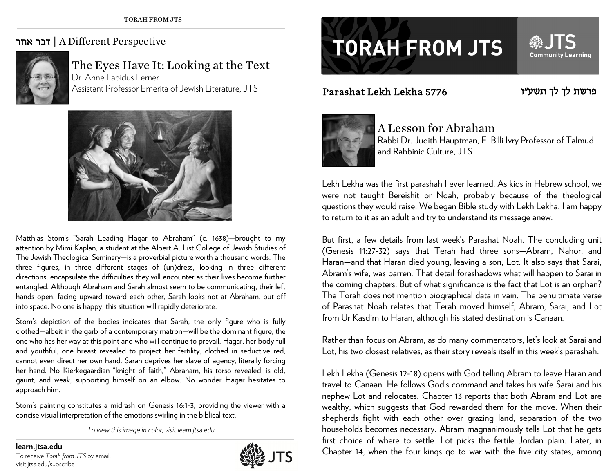## אחר דבר | A Different Perspective



The Eyes Have It: Looking at the Text Dr. Anne Lapidus Lerner Assistant Professor Emerita of Jewish Literature, JTS



Matthias Stom's "Sarah Leading Hagar to Abraham" (c. 1638)—brought to my attention by Mimi Kaplan, a student at the Albert A. List College of Jewish Studies of The Jewish Theological Seminary—is a proverbial picture worth a thousand words. The three figures, in three different stages of (un)dress, looking in three different directions, encapsulate the difficulties they will encounter as their lives become further entangled. Although Abraham and Sarah almost seem to be communicating, their left hands open, facing upward toward each other, Sarah looks not at Abraham, but off into space. No one is happy; this situation will rapidly deteriorate.

Stom's depiction of the bodies indicates that Sarah, the only figure who is fully clothed—albeit in the garb of a contemporary matron—will be the dominant figure, the one who has her way at this point and who will continue to prevail. Hagar, her body full and youthful, one breast revealed to project her fertility, clothed in seductive red, cannot even direct her own hand. Sarah deprives her slave of agency, literally forcing her hand. No Kierkegaardian "knight of faith," Abraham, his torso revealed, is old, gaunt, and weak, supporting himself on an elbow. No wonder Hagar hesitates to approach him.

Stom's painting constitutes a midrash on Genesis 16:1-3, providing the viewer with a concise visual interpretation of the emotions swirling in the biblical text.

*To view this image in color, visit learn.jtsa.edu* 

visit jtsa.edu/subscribe



## **TORAH FROM JTS**

Parashat Lekh Lekha 5776



**Community Learning** 



## A Lesson for Abraham

Rabbi Dr. Judith Hauptman, E. Billi Ivry Professor of Talmud and Rabbinic Culture, JTS

Lekh Lekha was the first parashah I ever learned. As kids in Hebrew school, we were not taught Bereishit or Noah, probably because of the theological questions they would raise. We began Bible study with Lekh Lekha. I am happy to return to it as an adult and try to understand its message anew.

But first, a few details from last week's Parashat Noah. The concluding unit (Genesis 11:27-32) says that Terah had three sons—Abram, Nahor, and Haran—and that Haran died young, leaving a son, Lot. It also says that Sarai, Abram's wife, was barren. That detail foreshadows what will happen to Sarai in the coming chapters. But of what significance is the fact that Lot is an orphan? The Torah does not mention biographical data in vain. The penultimate verse of Parashat Noah relates that Terah moved himself, Abram, Sarai, and Lot from Ur Kasdim to Haran, although his stated destination is Canaan.

Rather than focus on Abram, as do many commentators, let's look at Sarai and Lot, his two closest relatives, as their story reveals itself in this week's parashah.

Lekh Lekha (Genesis 12-18) opens with God telling Abram to leave Haran and travel to Canaan. He follows God's command and takes his wife Sarai and his nephew Lot and relocates. Chapter 13 reports that both Abram and Lot are wealthy, which suggests that God rewarded them for the move. When their shepherds fight with each other over grazing land, separation of the two households becomes necessary. Abram magnanimously tells Lot that he gets first choice of where to settle. Lot picks the fertile Jordan plain. Later, in **Chapter 14, when the four kings go to war with the five city states, among learn.jtsa.edu and To receive** *Torah from JTS* **by email, <b>in the five city states**, among and the five city states, among the five city states, am